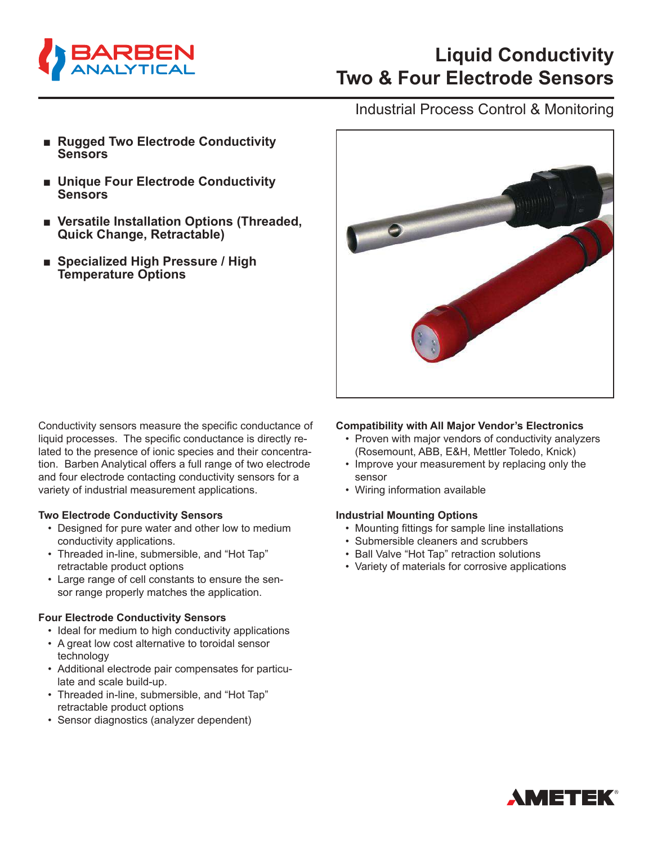

### Industrial Process Control & Monitoring

- **Rugged Two Electrode Conductivity Sensors**
- **■ Unique Four Electrode Conductivity Sensors**
- Versatile Installation Options (Threaded, **Quick Change, Retractable)**
- **■ Specialized High Pressure / High Temperature Options**

Conductivity sensors measure the specific conductance of liquid processes. The specific conductance is directly related to the presence of ionic species and their concentration. Barben Analytical offers a full range of two electrode and four electrode contacting conductivity sensors for a variety of industrial measurement applications.

#### **Two Electrode Conductivity Sensors**

- Designed for pure water and other low to medium conductivity applications.
- Threaded in-line, submersible, and "Hot Tap" retractable product options
- Large range of cell constants to ensure the sensor range properly matches the application.

#### **Four Electrode Conductivity Sensors**

- Ideal for medium to high conductivity applications
- A great low cost alternative to toroidal sensor technology
- Additional electrode pair compensates for particulate and scale build-up.
- Threaded in-line, submersible, and "Hot Tap" retractable product options
- Sensor diagnostics (analyzer dependent)



#### **Compatibility with All Major Vendor's Electronics**

- Proven with major vendors of conductivity analyzers (Rosemount, ABB, E&H, Mettler Toledo, Knick)
- Improve your measurement by replacing only the sensor
- Wiring information available

#### **Industrial Mounting Options**

- Mounting fittings for sample line installations
- Submersible cleaners and scrubbers
- Ball Valve "Hot Tap" retraction solutions
- Variety of materials for corrosive applications

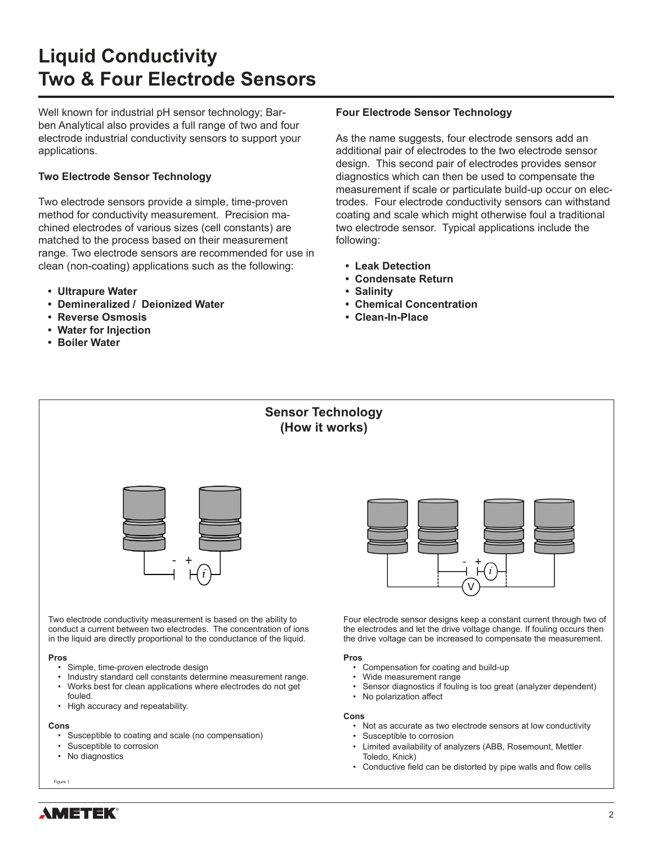Well known for industrial pH sensor technology; Barben Analytical also provides a full range of two and four electrode industrial conductivity sensors to support your applications.

#### **Two Electrode Sensor Technology**

Two electrode sensors provide a simple, time-proven method for conductivity measurement. Precision machined electrodes of various sizes (cell constants) are matched to the process based on their measurement range. Two electrode sensors are recommended for use in clean (non-coating) applications such as the following:

- **• Ultrapure Water**
- **• Demineralized / Deionized Water**
- **• Reverse Osmosis**
- **• Water for Injection**
- **• Boiler Water**

#### **Four Electrode Sensor Technology**

As the name suggests, four electrode sensors add an additional pair of electrodes to the two electrode sensor design. This second pair of electrodes provides sensor diagnostics which can then be used to compensate the measurement if scale or particulate build-up occur on electrodes. Four electrode conductivity sensors can withstand coating and scale which might otherwise foul a traditional two electrode sensor. Typical applications include the following:

Sensor diagnostics if fouling is too great (analyzer dependent)

• Not as accurate as two electrode sensors at low conductivity

• Limited availability of analyzers (ABB, Rosemount, Mettler

• No polarization affect

• Susceptible to corrosion

Toledo, Knick)

**Cons**

- **• Leak Detection**
- **• Condensate Return**
- **• Salinity**
- **• Chemical Concentration**
- **• Clean-In-Place**



- Works best for clean applications where electrodes do not get fouled.
- High accuracy and repeatability.

#### **Cons**

- Susceptible to coating and scale (no compensation)
- Susceptible to corrosion
- No diagnostics

Figure 1

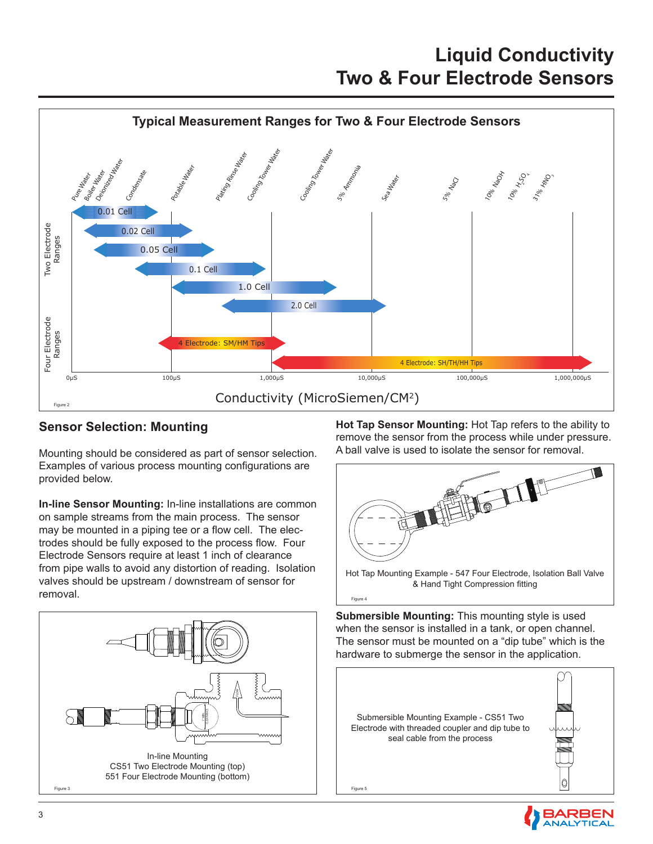

Figure 4

### **Sensor Selection: Mounting**

Mounting should be considered as part of sensor selection. Examples of various process mounting configurations are provided below.

**In-line Sensor Mounting:** In-line installations are common on sample streams from the main process. The sensor may be mounted in a piping tee or a flow cell. The electrodes should be fully exposed to the process flow. Four Electrode Sensors require at least 1 inch of clearance from pipe walls to avoid any distortion of reading. Isolation valves should be upstream / downstream of sensor for removal.



**Hot Tap Sensor Mounting:** Hot Tap refers to the ability to remove the sensor from the process while under pressure. A ball valve is used to isolate the sensor for removal.



**Submersible Mounting:** This mounting style is used when the sensor is installed in a tank, or open channel. The sensor must be mounted on a "dip tube" which is the hardware to submerge the sensor in the application.

Submersible Mounting Example - CS51 Two Electrode with threaded coupler and dip tube to seal cable from the process Figure 5

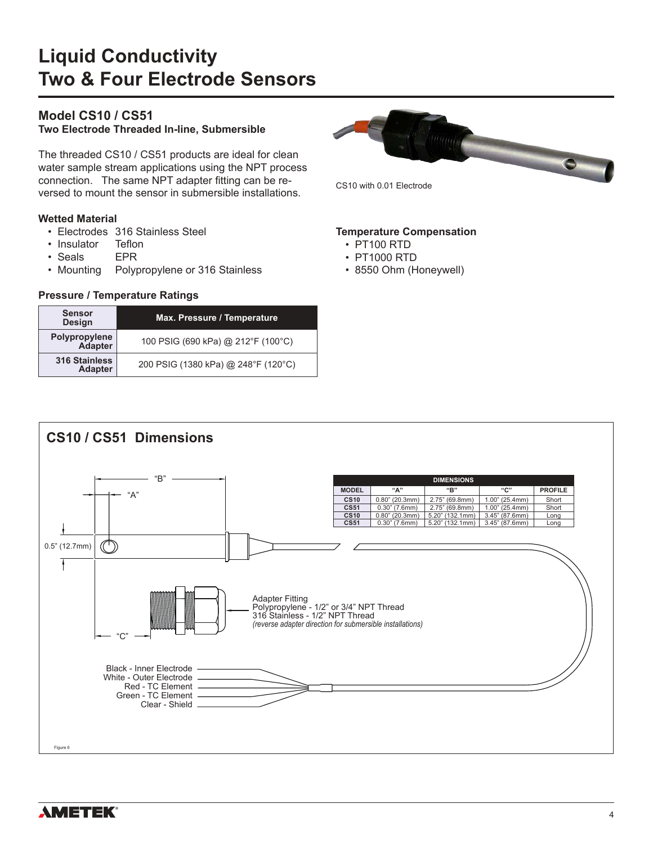### **Model CS10 / CS51**

**Two Electrode Threaded In-line, Submersible**

The threaded CS10 / CS51 products are ideal for clean water sample stream applications using the NPT process connection. The same NPT adapter fitting can be reversed to mount the sensor in submersible installations.

#### **Wetted Material**

- Electrodes 316 Stainless Steel
- Insulator Teflon
- Seals EPR
- Mounting Polypropylene or 316 Stainless

#### **Pressure / Temperature Ratings**

| <b>Sensor</b><br><b>Design</b>         | Max. Pressure / Temperature         |
|----------------------------------------|-------------------------------------|
| Polypropylene<br>Adapter               | 100 PSIG (690 kPa) @ 212°F (100°C)  |
| <b>316 Stainless</b><br><b>Adapter</b> | 200 PSIG (1380 kPa) @ 248°F (120°C) |



**Temperature Compensation**

- PT100 RTD
- PT1000 RTD
- 8550 Ohm (Honeywell)

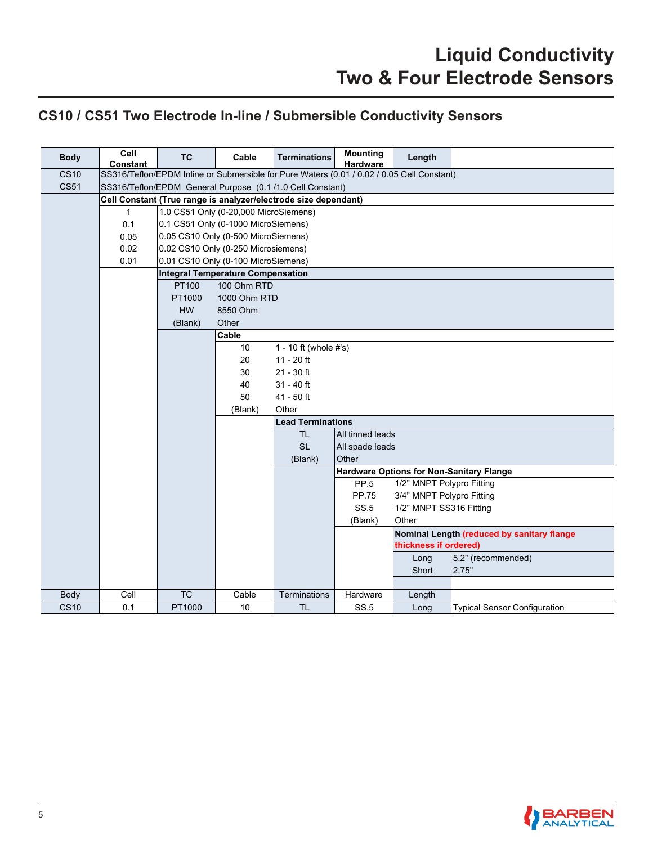### **CS10 / CS51 Two Electrode In-line / Submersible Conductivity Sensors**

| <b>Body</b> | ceil<br><b>Constant</b>                                   | <b>TC</b>                                                                                  | Cable                               | <b>Terminations</b>      | <b>Mounting</b><br><b>Hardware</b>         | Length                    |                                                 |  |  |  |  |
|-------------|-----------------------------------------------------------|--------------------------------------------------------------------------------------------|-------------------------------------|--------------------------|--------------------------------------------|---------------------------|-------------------------------------------------|--|--|--|--|
| <b>CS10</b> |                                                           | SS316/Teflon/EPDM Inline or Submersible for Pure Waters (0.01 / 0.02 / 0.05 Cell Constant) |                                     |                          |                                            |                           |                                                 |  |  |  |  |
| <b>CS51</b> | SS316/Teflon/EPDM General Purpose (0.1/1.0 Cell Constant) |                                                                                            |                                     |                          |                                            |                           |                                                 |  |  |  |  |
|             |                                                           | Cell Constant (True range is analyzer/electrode size dependant)                            |                                     |                          |                                            |                           |                                                 |  |  |  |  |
|             | $\mathbf{1}$                                              | 1.0 CS51 Only (0-20,000 MicroSiemens)                                                      |                                     |                          |                                            |                           |                                                 |  |  |  |  |
|             | 0.1                                                       | 0.1 CS51 Only (0-1000 MicroSiemens)                                                        |                                     |                          |                                            |                           |                                                 |  |  |  |  |
|             | 0.05                                                      | 0.05 CS10 Only (0-500 MicroSiemens)                                                        |                                     |                          |                                            |                           |                                                 |  |  |  |  |
|             | 0.02                                                      | 0.02 CS10 Only (0-250 Microsiemens)                                                        |                                     |                          |                                            |                           |                                                 |  |  |  |  |
|             | 0.01                                                      |                                                                                            | 0.01 CS10 Only (0-100 MicroSiemens) |                          |                                            |                           |                                                 |  |  |  |  |
|             |                                                           | <b>Integral Temperature Compensation</b>                                                   |                                     |                          |                                            |                           |                                                 |  |  |  |  |
|             |                                                           | PT100                                                                                      | 100 Ohm RTD                         |                          |                                            |                           |                                                 |  |  |  |  |
|             |                                                           | PT1000                                                                                     | 1000 Ohm RTD                        |                          |                                            |                           |                                                 |  |  |  |  |
|             |                                                           | <b>HW</b>                                                                                  | 8550 Ohm                            |                          |                                            |                           |                                                 |  |  |  |  |
|             |                                                           | (Blank)                                                                                    | Other                               |                          |                                            |                           |                                                 |  |  |  |  |
|             |                                                           |                                                                                            | Cable                               |                          |                                            |                           |                                                 |  |  |  |  |
|             |                                                           |                                                                                            | 10                                  | 1 - 10 ft (whole #'s)    |                                            |                           |                                                 |  |  |  |  |
|             |                                                           |                                                                                            | 20                                  | $11 - 20$ ft             |                                            |                           |                                                 |  |  |  |  |
|             |                                                           |                                                                                            | 30                                  | 21 - 30 ft               |                                            |                           |                                                 |  |  |  |  |
|             |                                                           |                                                                                            | 40                                  | $31 - 40$ ft             |                                            |                           |                                                 |  |  |  |  |
|             |                                                           |                                                                                            | 50                                  | 41 - 50 ft               |                                            |                           |                                                 |  |  |  |  |
|             |                                                           |                                                                                            | (Blank)                             | Other                    |                                            |                           |                                                 |  |  |  |  |
|             |                                                           |                                                                                            |                                     | <b>Lead Terminations</b> |                                            |                           |                                                 |  |  |  |  |
|             |                                                           |                                                                                            |                                     | TL.                      | All tinned leads                           |                           |                                                 |  |  |  |  |
|             |                                                           |                                                                                            |                                     | <b>SL</b>                | All spade leads                            |                           |                                                 |  |  |  |  |
|             |                                                           |                                                                                            |                                     | (Blank)                  | Other                                      |                           |                                                 |  |  |  |  |
|             |                                                           |                                                                                            |                                     |                          |                                            |                           | <b>Hardware Options for Non-Sanitary Flange</b> |  |  |  |  |
|             |                                                           |                                                                                            |                                     |                          | PP.5                                       | 1/2" MNPT Polypro Fitting |                                                 |  |  |  |  |
|             |                                                           |                                                                                            |                                     |                          | PP.75                                      | 3/4" MNPT Polypro Fitting |                                                 |  |  |  |  |
|             |                                                           |                                                                                            |                                     |                          | SS.5<br>1/2" MNPT SS316 Fitting            |                           |                                                 |  |  |  |  |
|             |                                                           |                                                                                            |                                     |                          | (Blank)<br>Other                           |                           |                                                 |  |  |  |  |
|             |                                                           |                                                                                            |                                     |                          | Nominal Length (reduced by sanitary flange |                           |                                                 |  |  |  |  |
|             |                                                           |                                                                                            |                                     |                          | thickness if ordered)                      |                           |                                                 |  |  |  |  |
|             |                                                           |                                                                                            |                                     |                          | 5.2" (recommended)<br>Long                 |                           |                                                 |  |  |  |  |
|             |                                                           |                                                                                            |                                     |                          |                                            | Short                     | 2.75"                                           |  |  |  |  |
|             |                                                           |                                                                                            |                                     |                          |                                            |                           |                                                 |  |  |  |  |
| Body        | Cell                                                      | <b>TC</b>                                                                                  | Cable                               | Terminations             | Hardware<br>Length                         |                           |                                                 |  |  |  |  |
| <b>CS10</b> | 0.1                                                       | PT1000                                                                                     | 10                                  | <b>TL</b>                | <b>SS.5</b>                                | Long                      | <b>Typical Sensor Configuration</b>             |  |  |  |  |

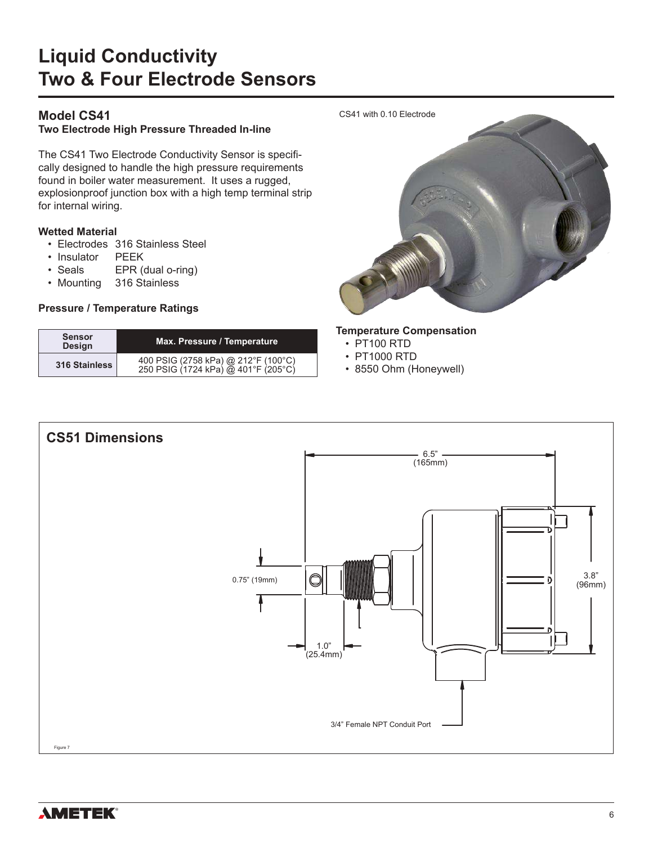### **Model CS41**

#### **Two Electrode High Pressure Threaded In-line**

The CS41 Two Electrode Conductivity Sensor is specifically designed to handle the high pressure requirements found in boiler water measurement. It uses a rugged, explosionproof junction box with a high temp terminal strip for internal wiring.

#### **Wetted Material**

- Electrodes 316 Stainless Steel
- Insulator PEEK
- Seals EPR (dual o-ring)
- Mounting 316 Stainless

#### **Pressure / Temperature Ratings**

| <b>Sensor</b><br><b>Design</b> | Max. Pressure / Temperature                                                |  |  |  |  |
|--------------------------------|----------------------------------------------------------------------------|--|--|--|--|
| 316 Stainless                  | 400 PSIG (2758 kPa) @ 212°F (100°C)<br>250 PSIG (1724 kPa) @ 401°F (205°C) |  |  |  |  |



#### **Temperature Compensation**

- PT100 RTD
- PT1000 RTD
- 8550 Ohm (Honeywell)



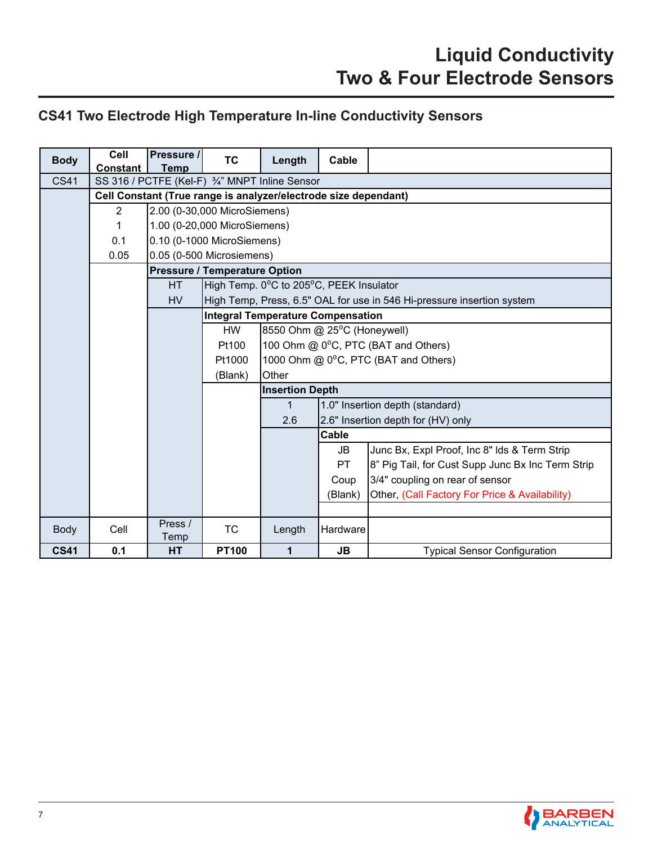### **CS41 Two Electrode High Temperature In-line Conductivity Sensors**

| <b>Body</b> | Cell<br>Constant | Pressure /<br><b>Temp</b>                                       | <b>TC</b>                            | Length                                                                 | Cable                                                     |                                                   |  |  |  |  |
|-------------|------------------|-----------------------------------------------------------------|--------------------------------------|------------------------------------------------------------------------|-----------------------------------------------------------|---------------------------------------------------|--|--|--|--|
| <b>CS41</b> |                  | SS 316 / PCTFE (Kel-F) 3/4" MNPT Inline Sensor                  |                                      |                                                                        |                                                           |                                                   |  |  |  |  |
|             |                  | Cell Constant (True range is analyzer/electrode size dependant) |                                      |                                                                        |                                                           |                                                   |  |  |  |  |
|             | $\overline{2}$   |                                                                 | 2.00 (0-30,000 MicroSiemens)         |                                                                        |                                                           |                                                   |  |  |  |  |
|             | 1                |                                                                 | 1.00 (0-20,000 MicroSiemens)         |                                                                        |                                                           |                                                   |  |  |  |  |
|             | 0.1              |                                                                 | 0.10 (0-1000 MicroSiemens)           |                                                                        |                                                           |                                                   |  |  |  |  |
|             | 0.05             |                                                                 | 0.05 (0-500 Microsiemens)            |                                                                        |                                                           |                                                   |  |  |  |  |
|             |                  |                                                                 | <b>Pressure / Temperature Option</b> |                                                                        |                                                           |                                                   |  |  |  |  |
|             |                  | <b>HT</b>                                                       |                                      | High Temp. 0°C to 205°C, PEEK Insulator                                |                                                           |                                                   |  |  |  |  |
|             |                  | <b>HV</b>                                                       |                                      | High Temp, Press, 6.5" OAL for use in 546 Hi-pressure insertion system |                                                           |                                                   |  |  |  |  |
|             |                  |                                                                 |                                      | <b>Integral Temperature Compensation</b>                               |                                                           |                                                   |  |  |  |  |
|             |                  |                                                                 | <b>HW</b>                            | 8550 Ohm @ 25 <sup>0</sup> C (Honeywell)                               |                                                           |                                                   |  |  |  |  |
|             |                  |                                                                 | Pt100                                | 100 Ohm @ 0°C, PTC (BAT and Others)                                    |                                                           |                                                   |  |  |  |  |
|             |                  |                                                                 | Pt1000                               | 1000 Ohm @ 0 <sup>o</sup> C, PTC (BAT and Others)                      |                                                           |                                                   |  |  |  |  |
|             |                  |                                                                 | (Blank)                              | Other                                                                  |                                                           |                                                   |  |  |  |  |
|             |                  |                                                                 |                                      | <b>Insertion Depth</b>                                                 |                                                           |                                                   |  |  |  |  |
|             |                  |                                                                 |                                      | $\mathbf{1}$                                                           |                                                           | 1.0" Insertion depth (standard)                   |  |  |  |  |
|             |                  |                                                                 |                                      | 2.6                                                                    |                                                           | 2.6" Insertion depth for (HV) only                |  |  |  |  |
|             |                  |                                                                 |                                      |                                                                        | Cable                                                     |                                                   |  |  |  |  |
|             |                  |                                                                 |                                      |                                                                        | JB                                                        | Junc Bx, Expl Proof, Inc 8" Ids & Term Strip      |  |  |  |  |
|             |                  |                                                                 |                                      |                                                                        | PT                                                        | 8" Pig Tail, for Cust Supp Junc Bx Inc Term Strip |  |  |  |  |
|             |                  |                                                                 |                                      |                                                                        | Coup                                                      | 3/4" coupling on rear of sensor                   |  |  |  |  |
|             |                  |                                                                 |                                      |                                                                        | Other, (Call Factory For Price & Availability)<br>(Blank) |                                                   |  |  |  |  |
|             |                  |                                                                 |                                      |                                                                        |                                                           |                                                   |  |  |  |  |
| Body        | Cell             | Press /<br>Temp                                                 | <b>TC</b>                            | Length                                                                 | Hardware                                                  |                                                   |  |  |  |  |
| <b>CS41</b> | 0.1              | <b>HT</b>                                                       | <b>PT100</b>                         | 1                                                                      | JB.                                                       | <b>Typical Sensor Configuration</b>               |  |  |  |  |

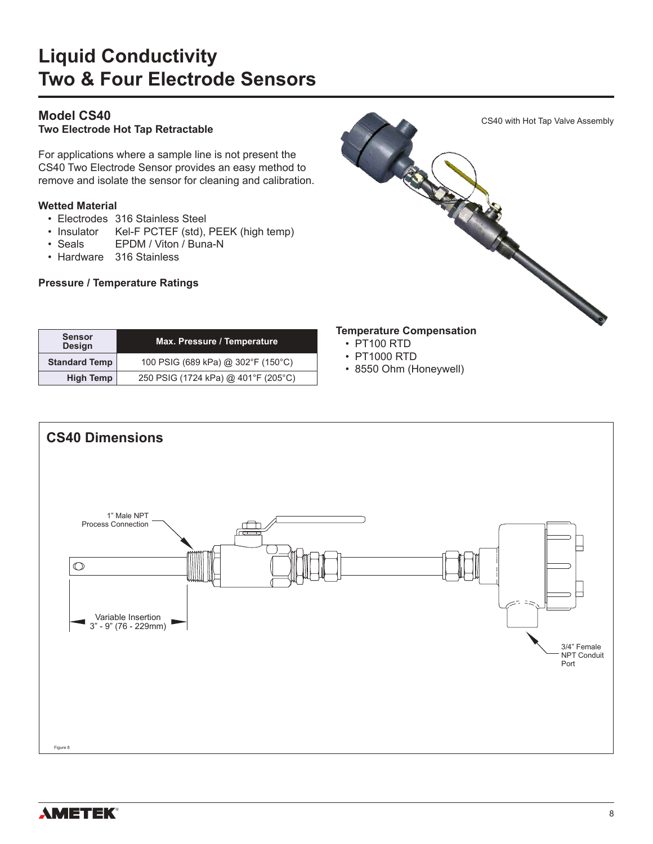### **Model CS40**

**Two Electrode Hot Tap Retractable**

For applications where a sample line is not present the CS40 Two Electrode Sensor provides an easy method to remove and isolate the sensor for cleaning and calibration.

#### **Wetted Material**

**Sensor**

- Electrodes 316 Stainless Steel
- Insulator Kel-F PCTEF (std), PEEK (high temp)

**Standard Temp** 100 PSIG (689 kPa) @ 302°F (150°C) **High Temp** 250 PSIG (1724 kPa) @ 401°F (205°C)

**Design Max. Pressure / Temperature**

- Seals EPDM / Viton / Buna-N
- Hardware 316 Stainless

#### **Pressure / Temperature Ratings**



- PT100 RTD
- PT1000 RTD
- 8550 Ohm (Honeywell)



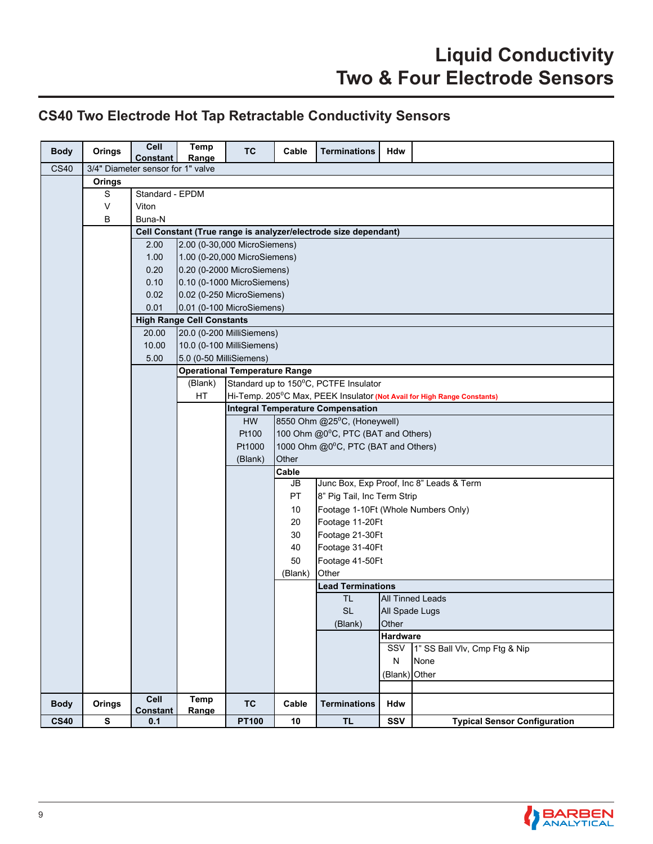### **CS40 Two Electrode Hot Tap Retractable Conductivity Sensors**

| <b>Body</b> | Orings    | Cell<br>Constant                  | Temp<br>Range                                                   | <b>TC</b>                                                                                  | Cable                                                                     | <b>Terminations</b>                      | Hdw             |                                     |  |  |
|-------------|-----------|-----------------------------------|-----------------------------------------------------------------|--------------------------------------------------------------------------------------------|---------------------------------------------------------------------------|------------------------------------------|-----------------|-------------------------------------|--|--|
| <b>CS40</b> |           | 3/4" Diameter sensor for 1" valve |                                                                 |                                                                                            |                                                                           |                                          |                 |                                     |  |  |
|             | Orings    |                                   |                                                                 |                                                                                            |                                                                           |                                          |                 |                                     |  |  |
|             | S         | Standard - EPDM                   |                                                                 |                                                                                            |                                                                           |                                          |                 |                                     |  |  |
|             | $\vee$    | Viton                             |                                                                 |                                                                                            |                                                                           |                                          |                 |                                     |  |  |
|             | B         | Buna-N                            |                                                                 |                                                                                            |                                                                           |                                          |                 |                                     |  |  |
|             |           |                                   | Cell Constant (True range is analyzer/electrode size dependant) |                                                                                            |                                                                           |                                          |                 |                                     |  |  |
|             |           | 2.00                              |                                                                 | 2.00 (0-30,000 MicroSiemens)                                                               |                                                                           |                                          |                 |                                     |  |  |
|             |           | 1.00                              |                                                                 | 1.00 (0-20,000 MicroSiemens)                                                               |                                                                           |                                          |                 |                                     |  |  |
|             |           | 0.20                              |                                                                 | 0.20 (0-2000 MicroSiemens)                                                                 |                                                                           |                                          |                 |                                     |  |  |
|             |           | 0.10                              |                                                                 | 0.10 (0-1000 MicroSiemens)                                                                 |                                                                           |                                          |                 |                                     |  |  |
|             |           | 0.02                              |                                                                 | 0.02 (0-250 MicroSiemens)                                                                  |                                                                           |                                          |                 |                                     |  |  |
|             |           | 0.01                              |                                                                 | 0.01 (0-100 MicroSiemens)                                                                  |                                                                           |                                          |                 |                                     |  |  |
|             |           |                                   | <b>High Range Cell Constants</b>                                |                                                                                            |                                                                           |                                          |                 |                                     |  |  |
|             |           | 20.00                             |                                                                 | 20.0 (0-200 MilliSiemens)                                                                  |                                                                           |                                          |                 |                                     |  |  |
|             |           | 10.00                             |                                                                 | 10.0 (0-100 MilliSiemens)                                                                  |                                                                           |                                          |                 |                                     |  |  |
|             |           | 5.00                              |                                                                 | 5.0 (0-50 MilliSiemens)                                                                    |                                                                           |                                          |                 |                                     |  |  |
|             |           |                                   | <b>Operational Temperature Range</b>                            |                                                                                            |                                                                           |                                          |                 |                                     |  |  |
|             |           |                                   |                                                                 | Standard up to 150°C, PCTFE Insulator<br>(Blank)                                           |                                                                           |                                          |                 |                                     |  |  |
|             |           |                                   |                                                                 | HT<br>Hi-Temp. 205 <sup>°</sup> C Max, PEEK Insulator (Not Avail for High Range Constants) |                                                                           |                                          |                 |                                     |  |  |
|             |           |                                   |                                                                 | <b>Integral Temperature Compensation</b><br><b>HW</b>                                      |                                                                           |                                          |                 |                                     |  |  |
|             |           |                                   |                                                                 | Pt100                                                                                      | 8550 Ohm @25°C, (Honeywell)                                               |                                          |                 |                                     |  |  |
|             |           |                                   |                                                                 | Pt1000                                                                                     | 100 Ohm @0°C, PTC (BAT and Others)<br>1000 Ohm @0°C, PTC (BAT and Others) |                                          |                 |                                     |  |  |
|             |           |                                   |                                                                 | (Blank)                                                                                    | Other                                                                     |                                          |                 |                                     |  |  |
|             |           |                                   |                                                                 |                                                                                            | Cable                                                                     |                                          |                 |                                     |  |  |
|             |           |                                   |                                                                 |                                                                                            | JB                                                                        | Junc Box, Exp Proof, Inc 8" Leads & Term |                 |                                     |  |  |
|             |           |                                   |                                                                 |                                                                                            | PT                                                                        | 8" Pig Tail, Inc Term Strip              |                 |                                     |  |  |
|             |           |                                   |                                                                 |                                                                                            | 10                                                                        | Footage 1-10Ft (Whole Numbers Only)      |                 |                                     |  |  |
|             |           |                                   |                                                                 |                                                                                            | 20                                                                        | Footage 11-20Ft                          |                 |                                     |  |  |
|             |           |                                   |                                                                 |                                                                                            | 30                                                                        | Footage 21-30Ft                          |                 |                                     |  |  |
|             |           |                                   |                                                                 |                                                                                            | 40                                                                        | Footage 31-40Ft                          |                 |                                     |  |  |
|             |           |                                   |                                                                 |                                                                                            | 50                                                                        | Footage 41-50Ft                          |                 |                                     |  |  |
|             |           |                                   |                                                                 |                                                                                            | (Blank)                                                                   | Other                                    |                 |                                     |  |  |
|             |           |                                   |                                                                 |                                                                                            |                                                                           | <b>Lead Terminations</b>                 |                 |                                     |  |  |
|             |           |                                   |                                                                 |                                                                                            |                                                                           | <b>TL</b>                                |                 | <b>All Tinned Leads</b>             |  |  |
|             |           |                                   |                                                                 |                                                                                            |                                                                           | <b>SL</b>                                | All Spade Lugs  |                                     |  |  |
|             |           |                                   |                                                                 |                                                                                            |                                                                           | Other<br>(Blank)                         |                 |                                     |  |  |
|             |           |                                   |                                                                 |                                                                                            |                                                                           |                                          | <b>Hardware</b> |                                     |  |  |
|             |           |                                   |                                                                 |                                                                                            |                                                                           |                                          | SSV             | 1" SS Ball Vlv, Cmp Ftg & Nip       |  |  |
|             |           |                                   |                                                                 |                                                                                            |                                                                           |                                          | ${\sf N}$       | None                                |  |  |
|             |           |                                   |                                                                 |                                                                                            |                                                                           |                                          | (Blank)         | Other                               |  |  |
|             |           |                                   |                                                                 |                                                                                            |                                                                           |                                          |                 |                                     |  |  |
| <b>Body</b> | Orings    | Cell<br><b>Constant</b>           | Temp                                                            | <b>TC</b>                                                                                  | Cable                                                                     | <b>Terminations</b>                      | Hdw             |                                     |  |  |
| <b>CS40</b> | ${\bf s}$ | 0.1                               | Range                                                           | <b>PT100</b>                                                                               | $10\,$                                                                    | <b>TL</b>                                | SSV             | <b>Typical Sensor Configuration</b> |  |  |

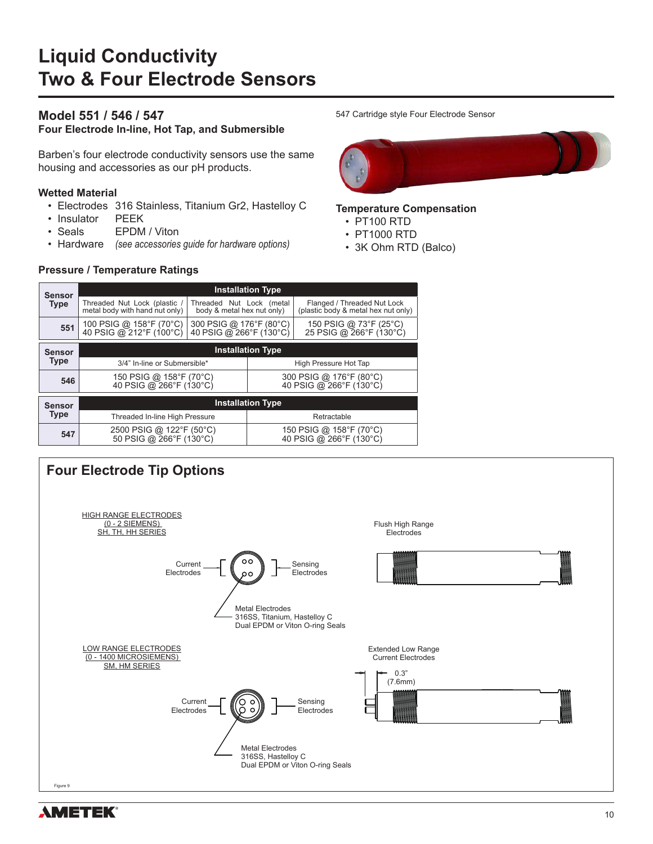#### **Model 551 / 546 / 547**

**Four Electrode In-line, Hot Tap, and Submersible**

Barben's four electrode conductivity sensors use the same housing and accessories as our pH products.

#### **Wetted Material**

- Electrodes 316 Stainless, Titanium Gr2, Hastelloy C
- Insulator PEEK
- Seals **EPDM** / Viton
- Hardware *(see accessories guide for hardware options)*

#### **Pressure / Temperature Ratings**

#### 547 Cartridge style Four Electrode Sensor



#### **Temperature Compensation**

- PT100 RTD
- PT1000 RTD
- 3K Ohm RTD (Balco)

| Sensor        | <b>Installation Type</b>                                       |                                                        |                                                    |                                                                    |  |  |  |  |  |  |
|---------------|----------------------------------------------------------------|--------------------------------------------------------|----------------------------------------------------|--------------------------------------------------------------------|--|--|--|--|--|--|
| <b>Type</b>   | Threaded Nut Lock (plastic /<br>metal body with hand nut only) | Threaded Nut Lock (metal<br>body & metal hex nut only) |                                                    | Flanged / Threaded Nut Lock<br>(plastic body & metal hex nut only) |  |  |  |  |  |  |
| 551           | 100 PSIG @ 158°F (70°C)<br>40 PSIG @ 212°F (100°C)             | 300 PSIG @ 176°F (80°C)<br>40 PSIG @ 266°F (130°C)     |                                                    | 150 PSIG @ 73°F (25°C)<br>25 PSIG @ 266°F (130°C)                  |  |  |  |  |  |  |
| <b>Sensor</b> | <b>Installation Type</b>                                       |                                                        |                                                    |                                                                    |  |  |  |  |  |  |
| <b>Type</b>   | 3/4" In-line or Submersible*                                   |                                                        | High Pressure Hot Tap                              |                                                                    |  |  |  |  |  |  |
| 546           | 150 PSIG @ 158°F (70°C)<br>40 PSIG @ 266°F (130°C)             |                                                        | 300 PSIG @ 176°F (80°C)<br>40 PSIG @ 266°F (130°C) |                                                                    |  |  |  |  |  |  |
| <b>Sensor</b> |                                                                |                                                        | <b>Installation Type</b>                           |                                                                    |  |  |  |  |  |  |
| <b>Type</b>   | Threaded In-line High Pressure                                 |                                                        | Retractable                                        |                                                                    |  |  |  |  |  |  |
| 547           | 2500 PSIG @ 122°F (50°C)<br>50 PSIG @ 266°F (130°C)            |                                                        |                                                    | 150 PSIG @ 158°F (70°C)<br>40 PSIG @ 266°F (130°C)                 |  |  |  |  |  |  |



**AMETEK®**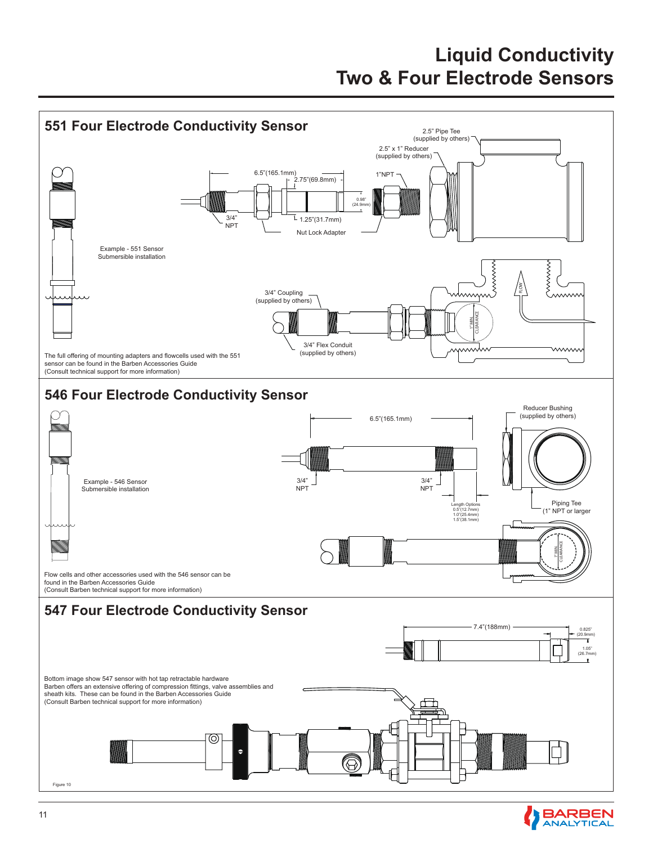

**BARBEN**<br>ANALYTICAL